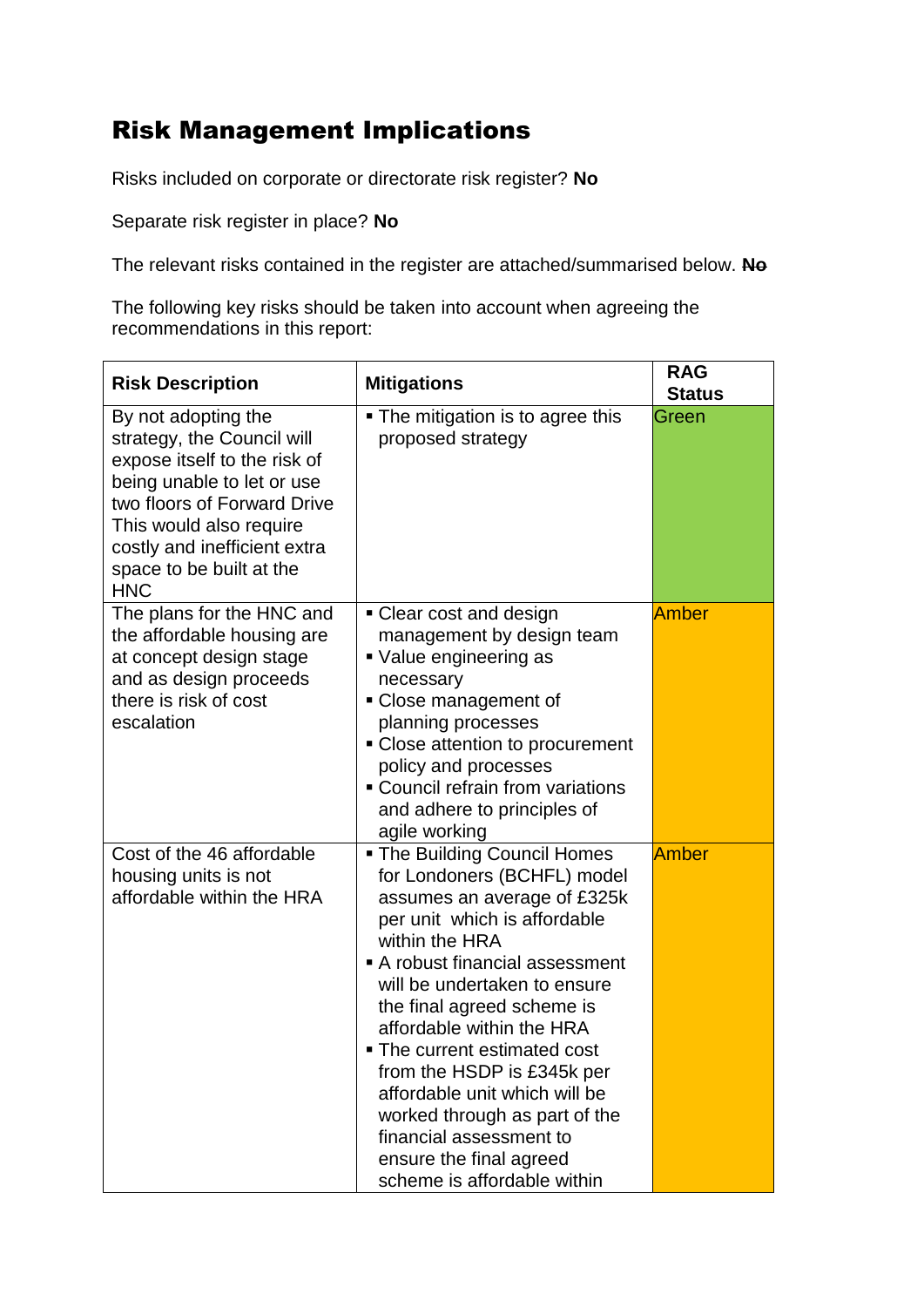## Risk Management Implications

Risks included on corporate or directorate risk register? **No**

Separate risk register in place? **No**

The relevant risks contained in the register are attached/summarised below. **No**

The following key risks should be taken into account when agreeing the recommendations in this report:

| <b>Risk Description</b>                                                                                                                                                                                                                             | <b>Mitigations</b>                                                                                                                                                                                                                                                                                                                                                                                                                                                                                 | <b>RAG</b><br><b>Status</b> |
|-----------------------------------------------------------------------------------------------------------------------------------------------------------------------------------------------------------------------------------------------------|----------------------------------------------------------------------------------------------------------------------------------------------------------------------------------------------------------------------------------------------------------------------------------------------------------------------------------------------------------------------------------------------------------------------------------------------------------------------------------------------------|-----------------------------|
| By not adopting the<br>strategy, the Council will<br>expose itself to the risk of<br>being unable to let or use<br>two floors of Forward Drive<br>This would also require<br>costly and inefficient extra<br>space to be built at the<br><b>HNC</b> | • The mitigation is to agree this<br>proposed strategy                                                                                                                                                                                                                                                                                                                                                                                                                                             | Green                       |
| The plans for the HNC and<br>the affordable housing are<br>at concept design stage<br>and as design proceeds<br>there is risk of cost<br>escalation                                                                                                 | • Clear cost and design<br>management by design team<br>Value engineering as<br>necessary<br>• Close management of<br>planning processes<br>• Close attention to procurement<br>policy and processes<br>• Council refrain from variations<br>and adhere to principles of<br>agile working                                                                                                                                                                                                          | Amber                       |
| Cost of the 46 affordable<br>housing units is not<br>affordable within the HRA                                                                                                                                                                      | <b>The Building Council Homes</b><br>for Londoners (BCHFL) model<br>assumes an average of £325k<br>per unit which is affordable<br>within the HRA<br>A robust financial assessment<br>will be undertaken to ensure<br>the final agreed scheme is<br>affordable within the HRA<br>• The current estimated cost<br>from the HSDP is £345k per<br>affordable unit which will be<br>worked through as part of the<br>financial assessment to<br>ensure the final agreed<br>scheme is affordable within | Amber                       |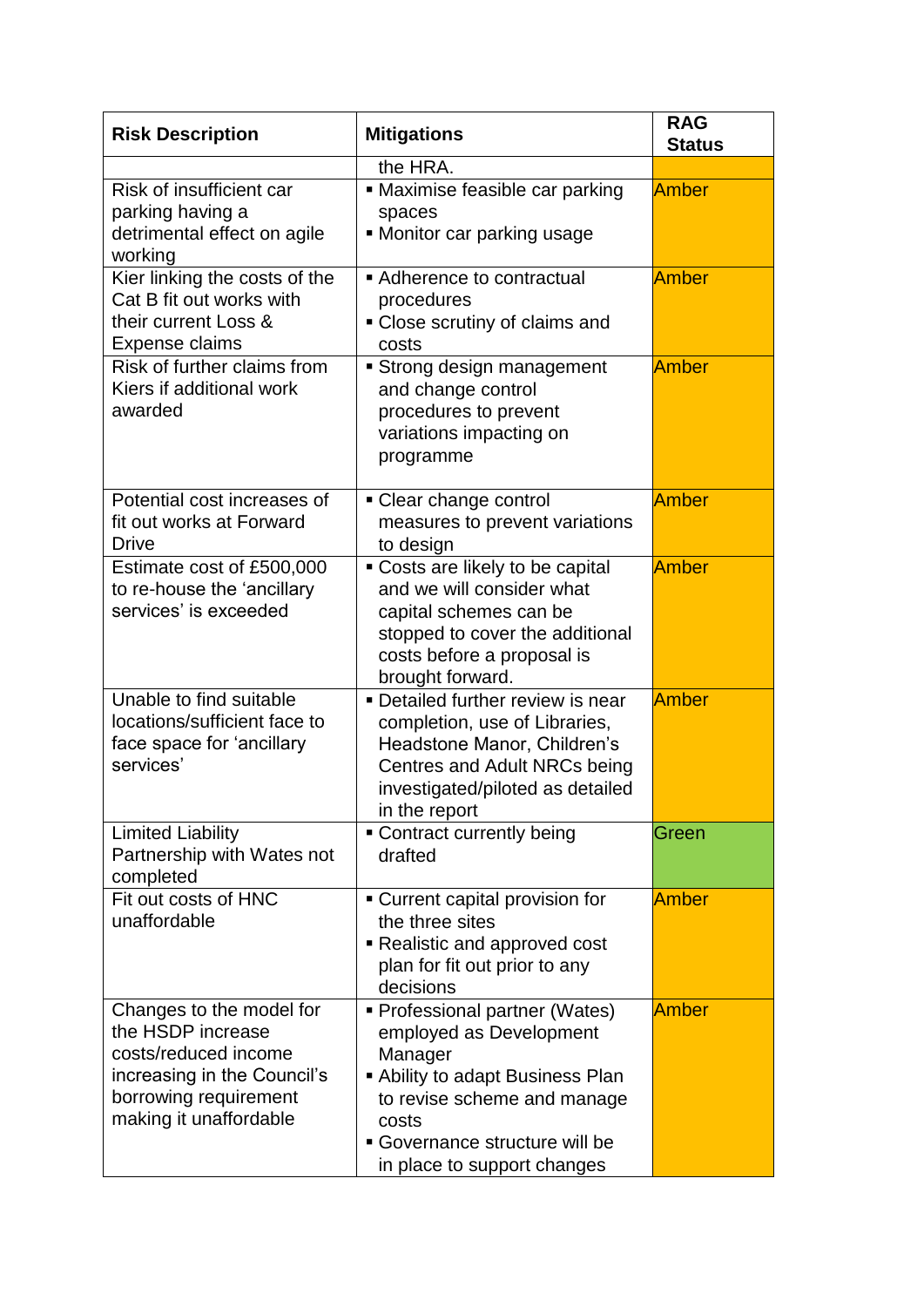| <b>Risk Description</b>                                                                                                                                 | <b>Mitigations</b>                                                                                                                                                                                              | <b>RAG</b><br><b>Status</b> |
|---------------------------------------------------------------------------------------------------------------------------------------------------------|-----------------------------------------------------------------------------------------------------------------------------------------------------------------------------------------------------------------|-----------------------------|
|                                                                                                                                                         | the HRA.                                                                                                                                                                                                        |                             |
| Risk of insufficient car<br>parking having a<br>detrimental effect on agile<br>working                                                                  | • Maximise feasible car parking<br>spaces<br>• Monitor car parking usage                                                                                                                                        | Amber                       |
| Kier linking the costs of the<br>Cat B fit out works with<br>their current Loss &<br>Expense claims                                                     | Adherence to contractual<br>procedures<br>• Close scrutiny of claims and<br>costs                                                                                                                               | Amber                       |
| Risk of further claims from<br>Kiers if additional work<br>awarded                                                                                      | Strong design management<br>and change control<br>procedures to prevent<br>variations impacting on<br>programme                                                                                                 | Amber                       |
| Potential cost increases of<br>fit out works at Forward<br><b>Drive</b>                                                                                 | • Clear change control<br>measures to prevent variations<br>to design                                                                                                                                           | Amber                       |
| Estimate cost of £500,000<br>to re-house the 'ancillary<br>services' is exceeded                                                                        | • Costs are likely to be capital<br>and we will consider what<br>capital schemes can be<br>stopped to cover the additional<br>costs before a proposal is<br>brought forward.                                    | Amber                       |
| Unable to find suitable<br>locations/sufficient face to<br>face space for 'ancillary<br>services'                                                       | Detailed further review is near<br>completion, use of Libraries,<br>Headstone Manor, Children's<br>Centres and Adult NRCs being<br>investigated/piloted as detailed<br>in the report                            | Amber                       |
| <b>Limited Liability</b><br>Partnership with Wates not<br>completed                                                                                     | • Contract currently being<br>drafted                                                                                                                                                                           | Green                       |
| Fit out costs of HNC<br>unaffordable                                                                                                                    | • Current capital provision for<br>the three sites<br>Realistic and approved cost<br>plan for fit out prior to any<br>decisions                                                                                 | Amber                       |
| Changes to the model for<br>the HSDP increase<br>costs/reduced income<br>increasing in the Council's<br>borrowing requirement<br>making it unaffordable | • Professional partner (Wates)<br>employed as Development<br>Manager<br>Ability to adapt Business Plan<br>to revise scheme and manage<br>costs<br>• Governance structure will be<br>in place to support changes | Amber                       |